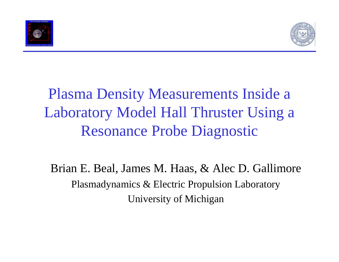



## Plasma Density Measurements Inside a Laboratory Model Hall Thruster Using a Resonance Probe Diagnostic

Brian E. Beal, James M. Haas, & Alec D. Gallimore Plasmadynamics & Electric Propulsion Laboratory University of Michigan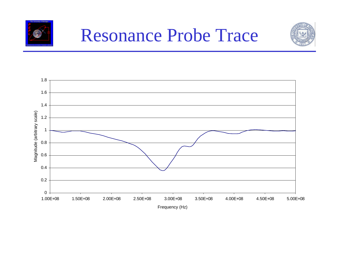



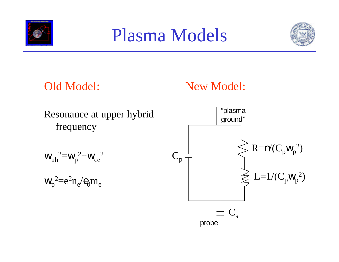

## Plasma Models



## Old Model:

## New Model:

Resonance at upper hybrid frequency

$$
\left.w_{uh}\right.^2 = \left.w_p\right.^2 + \left.w_{ce}\right.^2
$$

$$
w_p^2 = e^2 n_e / e_0 m_e
$$

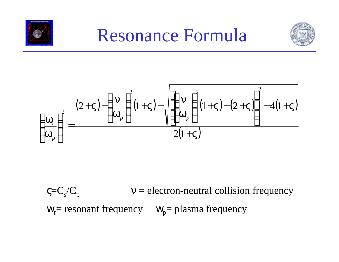



$$
\left(\frac{\mathbf{w}_r}{\mathbf{w}_p}\right)^2 = \frac{(2+\mathbf{V}) - \left(\frac{\mathbf{n}}{\mathbf{w}_p}\right)^2 (1+\mathbf{V}) - \sqrt{\left[\left(\frac{\mathbf{n}}{\mathbf{w}_p}\right)^2 (1+\mathbf{V}) - (2+\mathbf{V})\right]^2 - 4(1+\mathbf{V})}}{2(1+\mathbf{V})}
$$

 $\mathsf{c}=\mathsf{C}_\mathrm{s}/\mathsf{C}_\mathrm{p}$  $v =$  electron-neutral collision frequency  $W_r$ = resonant frequency  $W_p$ = plasma frequency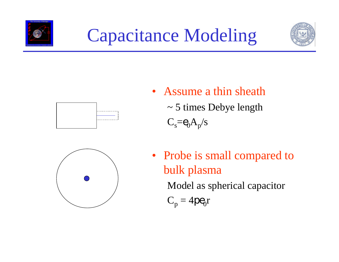





- Assume a thin sheath
	- ~ 5 times Debye length

 $C_s = e_0 A_p / s$ 



• Probe is small compared to bulk plasma Model as spherical capacitor

$$
C_p=4p\boldsymbol{e}_0\boldsymbol{r}
$$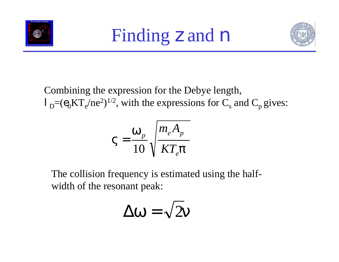



Combining the expression for the Debye length,  $l_{\rm D} = (e_0 K T_{\rm e}/n e^2)^{1/2}$ , with the expressions for  $C_{\rm s}$  and  $C_{\rm p}$  gives:

$$
\mathbf{V} = \frac{\mathbf{w}_p}{10} \sqrt{\frac{m_e A_p}{KT_e \mathbf{p}}}
$$

The collision frequency is estimated using the halfwidth of the resonant peak:

$$
\Delta \mathbf{w} = \sqrt{2}\mathbf{n}
$$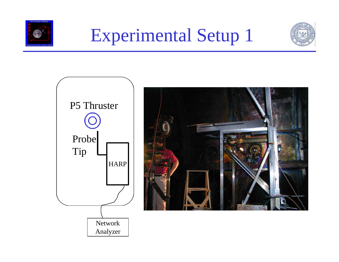



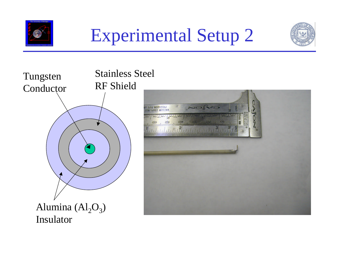





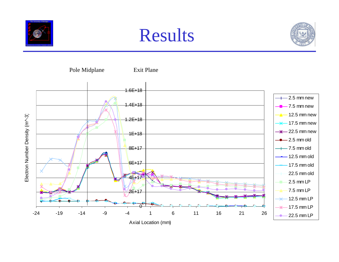